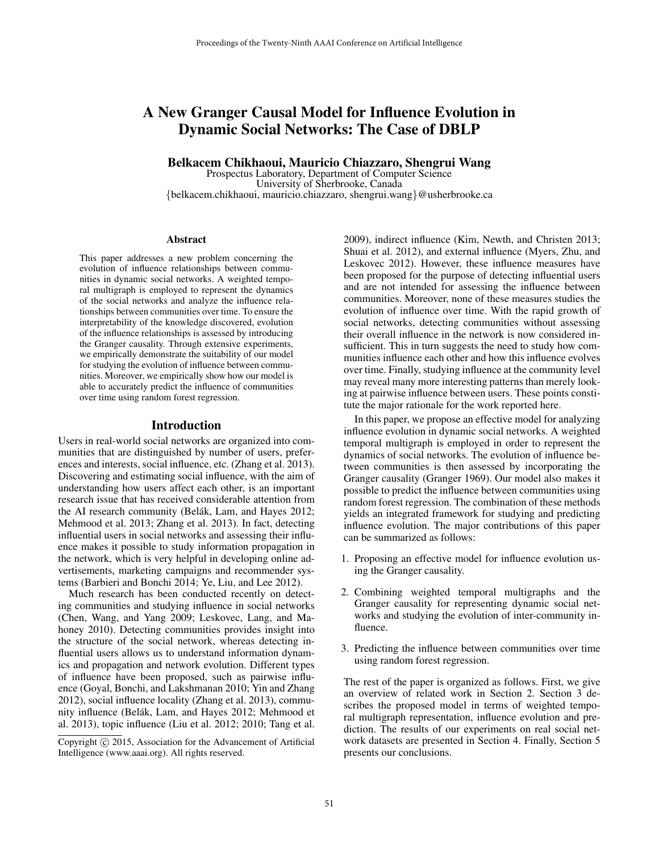# A New Granger Causal Model for Influence Evolution in Dynamic Social Networks: The Case of DBLP

### Belkacem Chikhaoui, Mauricio Chiazzaro, Shengrui Wang

Prospectus Laboratory, Department of Computer Science University of Sherbrooke, Canada {belkacem.chikhaoui, mauricio.chiazzaro, shengrui.wang}@usherbrooke.ca

#### **Abstract**

This paper addresses a new problem concerning the evolution of influence relationships between communities in dynamic social networks. A weighted temporal multigraph is employed to represent the dynamics of the social networks and analyze the influence relationships between communities over time. To ensure the interpretability of the knowledge discovered, evolution of the influence relationships is assessed by introducing the Granger causality. Through extensive experiments, we empirically demonstrate the suitability of our model for studying the evolution of influence between communities. Moreover, we empirically show how our model is able to accurately predict the influence of communities over time using random forest regression.

#### Introduction

Users in real-world social networks are organized into communities that are distinguished by number of users, preferences and interests, social influence, etc. (Zhang et al. 2013). Discovering and estimating social influence, with the aim of understanding how users affect each other, is an important research issue that has received considerable attention from the AI research community (Belák, Lam, and Hayes 2012; Mehmood et al. 2013; Zhang et al. 2013). In fact, detecting influential users in social networks and assessing their influence makes it possible to study information propagation in the network, which is very helpful in developing online advertisements, marketing campaigns and recommender systems (Barbieri and Bonchi 2014; Ye, Liu, and Lee 2012).

Much research has been conducted recently on detecting communities and studying influence in social networks (Chen, Wang, and Yang 2009; Leskovec, Lang, and Mahoney 2010). Detecting communities provides insight into the structure of the social network, whereas detecting influential users allows us to understand information dynamics and propagation and network evolution. Different types of influence have been proposed, such as pairwise influence (Goyal, Bonchi, and Lakshmanan 2010; Yin and Zhang 2012), social influence locality (Zhang et al. 2013), community influence (Belák, Lam, and Hayes 2012; Mehmood et al. 2013), topic influence (Liu et al. 2012; 2010; Tang et al.

2009), indirect influence (Kim, Newth, and Christen 2013; Shuai et al. 2012), and external influence (Myers, Zhu, and Leskovec 2012). However, these influence measures have been proposed for the purpose of detecting influential users and are not intended for assessing the influence between communities. Moreover, none of these measures studies the evolution of influence over time. With the rapid growth of social networks, detecting communities without assessing their overall influence in the network is now considered insufficient. This in turn suggests the need to study how communities influence each other and how this influence evolves over time. Finally, studying influence at the community level may reveal many more interesting patterns than merely looking at pairwise influence between users. These points constitute the major rationale for the work reported here.

In this paper, we propose an effective model for analyzing influence evolution in dynamic social networks. A weighted temporal multigraph is employed in order to represent the dynamics of social networks. The evolution of influence between communities is then assessed by incorporating the Granger causality (Granger 1969). Our model also makes it possible to predict the influence between communities using random forest regression. The combination of these methods yields an integrated framework for studying and predicting influence evolution. The major contributions of this paper can be summarized as follows:

- 1. Proposing an effective model for influence evolution using the Granger causality.
- 2. Combining weighted temporal multigraphs and the Granger causality for representing dynamic social networks and studying the evolution of inter-community influence.
- 3. Predicting the influence between communities over time using random forest regression.

The rest of the paper is organized as follows. First, we give an overview of related work in Section 2. Section 3 describes the proposed model in terms of weighted temporal multigraph representation, influence evolution and prediction. The results of our experiments on real social network datasets are presented in Section 4. Finally, Section 5 presents our conclusions.

Copyright © 2015, Association for the Advancement of Artificial Intelligence (www.aaai.org). All rights reserved.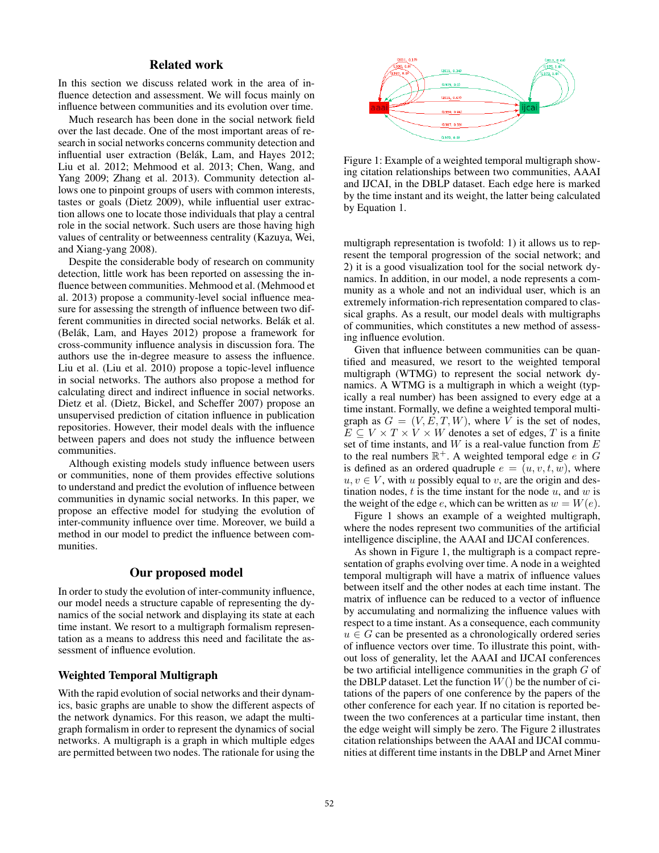### Related work

In this section we discuss related work in the area of influence detection and assessment. We will focus mainly on influence between communities and its evolution over time.

Much research has been done in the social network field over the last decade. One of the most important areas of research in social networks concerns community detection and influential user extraction (Belák, Lam, and Hayes 2012; Liu et al. 2012; Mehmood et al. 2013; Chen, Wang, and Yang 2009; Zhang et al. 2013). Community detection allows one to pinpoint groups of users with common interests, tastes or goals (Dietz 2009), while influential user extraction allows one to locate those individuals that play a central role in the social network. Such users are those having high values of centrality or betweenness centrality (Kazuya, Wei, and Xiang-yang 2008).

Despite the considerable body of research on community detection, little work has been reported on assessing the influence between communities. Mehmood et al. (Mehmood et al. 2013) propose a community-level social influence measure for assessing the strength of influence between two different communities in directed social networks. Belák et al. (Belák, Lam, and Hayes 2012) propose a framework for cross-community influence analysis in discussion fora. The authors use the in-degree measure to assess the influence. Liu et al. (Liu et al. 2010) propose a topic-level influence in social networks. The authors also propose a method for calculating direct and indirect influence in social networks. Dietz et al. (Dietz, Bickel, and Scheffer 2007) propose an unsupervised prediction of citation influence in publication repositories. However, their model deals with the influence between papers and does not study the influence between communities.

Although existing models study influence between users or communities, none of them provides effective solutions to understand and predict the evolution of influence between communities in dynamic social networks. In this paper, we propose an effective model for studying the evolution of inter-community influence over time. Moreover, we build a method in our model to predict the influence between communities.

### Our proposed model

In order to study the evolution of inter-community influence, our model needs a structure capable of representing the dynamics of the social network and displaying its state at each time instant. We resort to a multigraph formalism representation as a means to address this need and facilitate the assessment of influence evolution.

### Weighted Temporal Multigraph

With the rapid evolution of social networks and their dynamics, basic graphs are unable to show the different aspects of the network dynamics. For this reason, we adapt the multigraph formalism in order to represent the dynamics of social networks. A multigraph is a graph in which multiple edges are permitted between two nodes. The rationale for using the



Figure 1: Example of a weighted temporal multigraph showing citation relationships between two communities, AAAI and IJCAI, in the DBLP dataset. Each edge here is marked by the time instant and its weight, the latter being calculated by Equation 1.

multigraph representation is twofold: 1) it allows us to represent the temporal progression of the social network; and 2) it is a good visualization tool for the social network dynamics. In addition, in our model, a node represents a community as a whole and not an individual user, which is an extremely information-rich representation compared to classical graphs. As a result, our model deals with multigraphs of communities, which constitutes a new method of assessing influence evolution.

Given that influence between communities can be quantified and measured, we resort to the weighted temporal multigraph (WTMG) to represent the social network dynamics. A WTMG is a multigraph in which a weight (typically a real number) has been assigned to every edge at a time instant. Formally, we define a weighted temporal multigraph as  $G = (V, E, T, W)$ , where V is the set of nodes,  $E \subseteq V \times T \times V \times W$  denotes a set of edges, T is a finite set of time instants, and  $W$  is a real-value function from  $E$ to the real numbers  $\mathbb{R}^+$ . A weighted temporal edge e in G is defined as an ordered quadruple  $e = (u, v, t, w)$ , where  $u, v \in V$ , with u possibly equal to v, are the origin and destination nodes,  $t$  is the time instant for the node  $u$ , and  $w$  is the weight of the edge e, which can be written as  $w = W(e)$ .

Figure 1 shows an example of a weighted multigraph, where the nodes represent two communities of the artificial intelligence discipline, the AAAI and IJCAI conferences.

As shown in Figure 1, the multigraph is a compact representation of graphs evolving over time. A node in a weighted temporal multigraph will have a matrix of influence values between itself and the other nodes at each time instant. The matrix of influence can be reduced to a vector of influence by accumulating and normalizing the influence values with respect to a time instant. As a consequence, each community  $u \in G$  can be presented as a chronologically ordered series of influence vectors over time. To illustrate this point, without loss of generality, let the AAAI and IJCAI conferences be two artificial intelligence communities in the graph  $G$  of the DBLP dataset. Let the function  $W()$  be the number of citations of the papers of one conference by the papers of the other conference for each year. If no citation is reported between the two conferences at a particular time instant, then the edge weight will simply be zero. The Figure 2 illustrates citation relationships between the AAAI and IJCAI communities at different time instants in the DBLP and Arnet Miner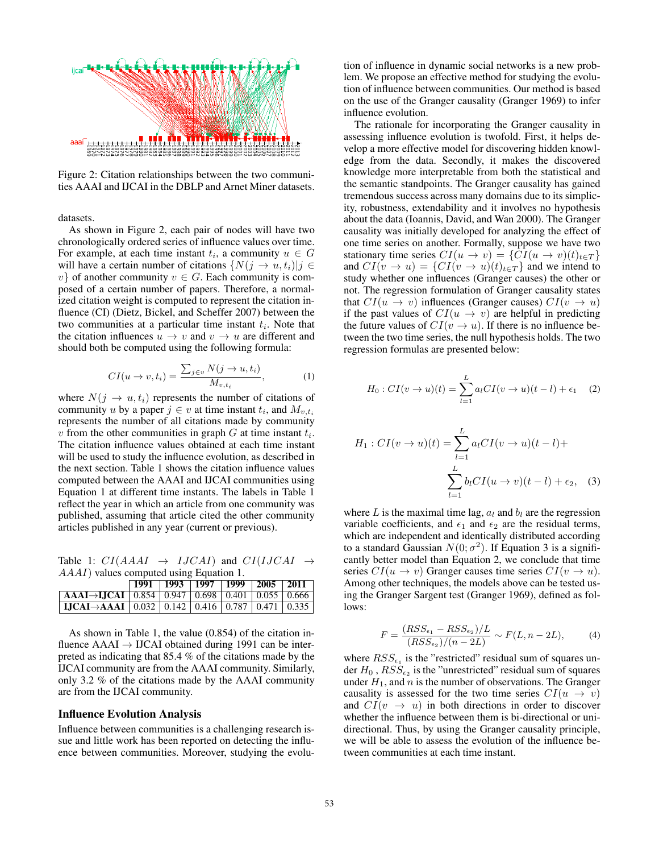

Figure 2: Citation relationships between the two communities AAAI and IJCAI in the DBLP and Arnet Miner datasets.

datasets.

As shown in Figure 2, each pair of nodes will have two chronologically ordered series of influence values over time. For example, at each time instant  $t_i$ , a community  $u \in G$ will have a certain number of citations  $\{N(j \rightarrow u, t_i)|j \in$ v} of another community  $v \in G$ . Each community is composed of a certain number of papers. Therefore, a normalized citation weight is computed to represent the citation influence (CI) (Dietz, Bickel, and Scheffer 2007) between the two communities at a particular time instant  $t_i$ . Note that the citation influences  $u \to v$  and  $v \to u$  are different and should both be computed using the following formula:

$$
CI(u \to v, t_i) = \frac{\sum_{j \in v} N(j \to u, t_i)}{M_{v, t_i}}, \tag{1}
$$

where  $N(j \rightarrow u, t_i)$  represents the number of citations of community u by a paper  $j \in v$  at time instant  $t_i$ , and  $M_{v,t_i}$ represents the number of all citations made by community v from the other communities in graph  $G$  at time instant  $t_i$ . The citation influence values obtained at each time instant will be used to study the influence evolution, as described in the next section. Table 1 shows the citation influence values computed between the AAAI and IJCAI communities using Equation 1 at different time instants. The labels in Table 1 reflect the year in which an article from one community was published, assuming that article cited the other community articles published in any year (current or previous).

Table 1:  $CI(AAAI \rightarrow IJCAI)$  and  $CI(IJCAI \rightarrow$ AAAI) values computed using Equation 1.

|                                                                                                    |  |  | $\boxed{1991}$   1993   1997   1999   2005   2011 |
|----------------------------------------------------------------------------------------------------|--|--|---------------------------------------------------|
| $\overline{AAAI} \rightarrow \overline{IJCAI}$   0.854   0.947   0.698   0.401   0.055   0.666     |  |  |                                                   |
| $\boxed{IJCAI \rightarrow AAAI \mid 0.032 \mid 0.142 \mid 0.416 \mid 0.787 \mid 0.471 \mid 0.335}$ |  |  |                                                   |

As shown in Table 1, the value (0.854) of the citation influence  $AAAI \rightarrow IJCAI$  obtained during 1991 can be interpreted as indicating that 85.4 % of the citations made by the IJCAI community are from the AAAI community. Similarly, only 3.2 % of the citations made by the AAAI community are from the IJCAI community.

#### Influence Evolution Analysis

Influence between communities is a challenging research issue and little work has been reported on detecting the influence between communities. Moreover, studying the evolu-

tion of influence in dynamic social networks is a new problem. We propose an effective method for studying the evolution of influence between communities. Our method is based on the use of the Granger causality (Granger 1969) to infer influence evolution.

The rationale for incorporating the Granger causality in assessing influence evolution is twofold. First, it helps develop a more effective model for discovering hidden knowledge from the data. Secondly, it makes the discovered knowledge more interpretable from both the statistical and the semantic standpoints. The Granger causality has gained tremendous success across many domains due to its simplicity, robustness, extendability and it involves no hypothesis about the data (Ioannis, David, and Wan 2000). The Granger causality was initially developed for analyzing the effect of one time series on another. Formally, suppose we have two stationary time series  $CI(u \rightarrow v) = \{CI(u \rightarrow v)(t)_{t \in T}\}\$ and  $CI(v \rightarrow u) = \{CI(v \rightarrow u)(t)_{t \in T}\}\$ and we intend to study whether one influences (Granger causes) the other or not. The regression formulation of Granger causality states that  $CI(u \rightarrow v)$  influences (Granger causes)  $CI(v \rightarrow u)$ if the past values of  $CI(u \rightarrow v)$  are helpful in predicting the future values of  $CI(v \rightarrow u)$ . If there is no influence between the two time series, the null hypothesis holds. The two regression formulas are presented below:

$$
H_0: CI(v \to u)(t) = \sum_{l=1}^{L} a_l CI(v \to u)(t-l) + \epsilon_1 \quad (2)
$$

$$
H_1: CI(v \to u)(t) = \sum_{l=1}^{L} a_l CI(v \to u)(t - l) +
$$

$$
\sum_{l=1}^{L} b_l CI(u \to v)(t - l) + \epsilon_2,
$$
 (3)

where L is the maximal time lag,  $a_l$  and  $b_l$  are the regression variable coefficients, and  $\epsilon_1$  and  $\epsilon_2$  are the residual terms, which are independent and identically distributed according to a standard Gaussian  $N(0; \sigma^2)$ . If Equation 3 is a significantly better model than Equation 2, we conclude that time series  $CI(u \rightarrow v)$  Granger causes time series  $CI(v \rightarrow u)$ . Among other techniques, the models above can be tested using the Granger Sargent test (Granger 1969), defined as follows:

$$
F = \frac{(RSS_{\epsilon_1} - RSS_{\epsilon_2})/L}{(RSS_{\epsilon_2})/(n - 2L)} \sim F(L, n - 2L),
$$
 (4)

where  $RSS_{\epsilon_1}$  is the "restricted" residual sum of squares under  $H_0$  ,  $RSS_{\epsilon_2}$  is the "unrestricted" residual sum of squares under  $H_1$ , and n is the number of observations. The Granger causality is assessed for the two time series  $CI(u \rightarrow v)$ and  $CI(v \rightarrow u)$  in both directions in order to discover whether the influence between them is bi-directional or unidirectional. Thus, by using the Granger causality principle, we will be able to assess the evolution of the influence between communities at each time instant.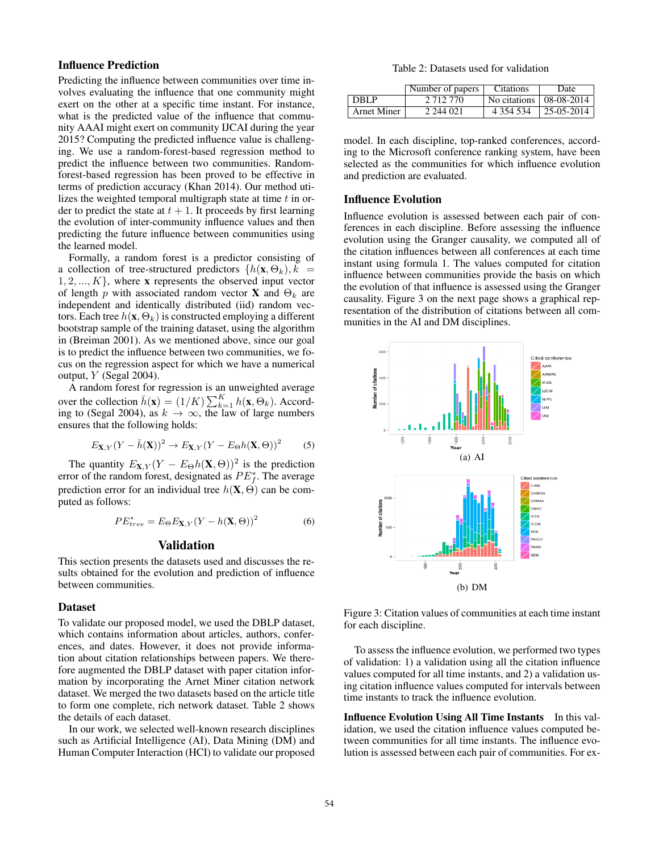# Influence Prediction

Predicting the influence between communities over time involves evaluating the influence that one community might exert on the other at a specific time instant. For instance, what is the predicted value of the influence that community AAAI might exert on community IJCAI during the year 2015? Computing the predicted influence value is challenging. We use a random-forest-based regression method to predict the influence between two communities. Randomforest-based regression has been proved to be effective in terms of prediction accuracy (Khan 2014). Our method utilizes the weighted temporal multigraph state at time  $t$  in order to predict the state at  $t + 1$ . It proceeds by first learning the evolution of inter-community influence values and then predicting the future influence between communities using the learned model.

Formally, a random forest is a predictor consisting of a collection of tree-structured predictors  $\{h(\mathbf{x}, \Theta_k), k\}$  $1, 2, ..., K$ , where x represents the observed input vector of length p with associated random vector **X** and  $\Theta_k$  are independent and identically distributed (iid) random vectors. Each tree  $h(\mathbf{x}, \Theta_k)$  is constructed employing a different bootstrap sample of the training dataset, using the algorithm in (Breiman 2001). As we mentioned above, since our goal is to predict the influence between two communities, we focus on the regression aspect for which we have a numerical output, Y (Segal 2004).

A random forest for regression is an unweighted average over the collection  $\bar{h}(\mathbf{x}) = (1/K) \sum_{k=1}^{K} h(\mathbf{x}, \Theta_k)$ . According to (Segal 2004), as  $k \to \infty$ , the law of large numbers ensures that the following holds:

$$
E_{\mathbf{X},Y}(Y - \bar{h}(\mathbf{X}))^2 \to E_{\mathbf{X},Y}(Y - E_{\Theta}h(\mathbf{X}, \Theta))^2
$$
 (5)

The quantity  $E_{\mathbf{X},Y}(Y - E_{\Theta}h(\mathbf{X}, \Theta))^2$  is the prediction error of the random forest, designated as  $PE_f^*$ . The average prediction error for an individual tree  $h(\mathbf{X}, \Theta)$  can be computed as follows:

$$
PE_{tree}^* = E_{\Theta} E_{\mathbf{X},Y} (Y - h(\mathbf{X}, \Theta))^2
$$
 (6)

### Validation

This section presents the datasets used and discusses the results obtained for the evolution and prediction of influence between communities.

### Dataset

To validate our proposed model, we used the DBLP dataset, which contains information about articles, authors, conferences, and dates. However, it does not provide information about citation relationships between papers. We therefore augmented the DBLP dataset with paper citation information by incorporating the Arnet Miner citation network dataset. We merged the two datasets based on the article title to form one complete, rich network dataset. Table 2 shows the details of each dataset.

In our work, we selected well-known research disciplines such as Artificial Intelligence (AI), Data Mining (DM) and Human Computer Interaction (HCI) to validate our proposed

Table 2: Datasets used for validation

|                    | Number of papers | <b>Citations</b>          | Date          |
|--------------------|------------------|---------------------------|---------------|
| DBLP               | 2 7 1 2 7 7 0    | No citations   08-08-2014 |               |
| <b>Arnet Miner</b> | 2 244 021        | 4 3 5 4 5 3 4             | $ 25-05-2014$ |

model. In each discipline, top-ranked conferences, according to the Microsoft conference ranking system, have been selected as the communities for which influence evolution and prediction are evaluated.

#### Influence Evolution

Influence evolution is assessed between each pair of conferences in each discipline. Before assessing the influence evolution using the Granger causality, we computed all of the citation influences between all conferences at each time instant using formula 1. The values computed for citation influence between communities provide the basis on which the evolution of that influence is assessed using the Granger causality. Figure 3 on the next page shows a graphical representation of the distribution of citations between all communities in the AI and DM disciplines.



Figure 3: Citation values of communities at each time instant for each discipline.

To assess the influence evolution, we performed two types of validation: 1) a validation using all the citation influence values computed for all time instants, and 2) a validation using citation influence values computed for intervals between time instants to track the influence evolution.

Influence Evolution Using All Time Instants In this validation, we used the citation influence values computed between communities for all time instants. The influence evolution is assessed between each pair of communities. For ex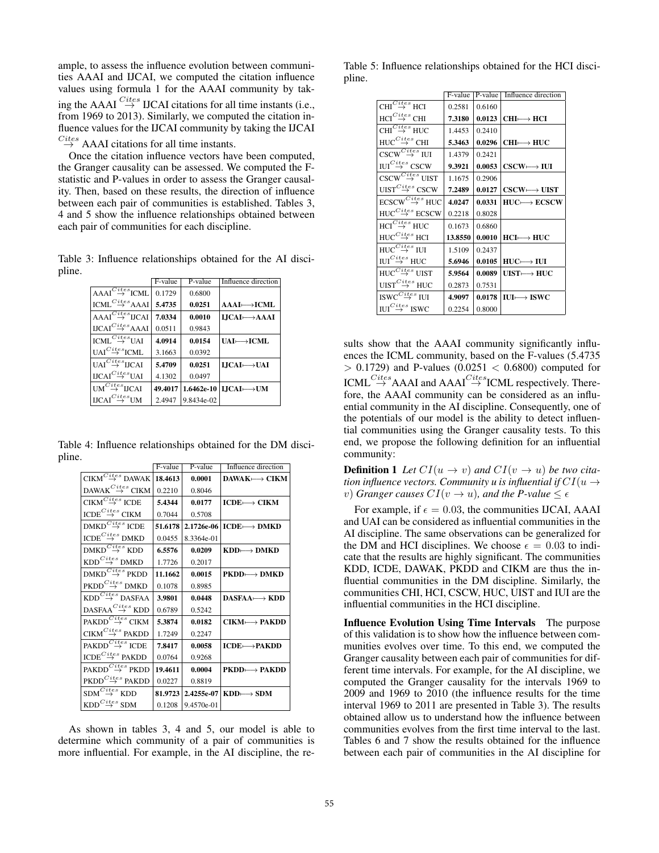ample, to assess the influence evolution between communities AAAI and IJCAI, we computed the citation influence values using formula 1 for the AAAI community by taking the AAAI  $\stackrel{Cites}{\rightarrow}$  IJCAI citations for all time instants (i.e., from 1969 to 2013). Similarly, we computed the citation influence values for the IJCAI community by taking the IJCAI  $\stackrel{Cites}{\rightarrow}$  AAAI citations for all time instants.

Once the citation influence vectors have been computed, the Granger causality can be assessed. We computed the Fstatistic and P-values in order to assess the Granger causality. Then, based on these results, the direction of influence between each pair of communities is established. Tables 3, 4 and 5 show the influence relationships obtained between each pair of communities for each discipline.

Table 3: Influence relationships obtained for the AI discipline.

|                                                                 | F-value | P-value    | Influence direction                  |
|-----------------------------------------------------------------|---------|------------|--------------------------------------|
| $A A A I \stackrel{Cites}{\rightarrow} I C M I$ .               | 0.1729  | 0.6800     |                                      |
| $\text{ICML}^{\text{Cites}}$ AAAI                               | 5.4735  | 0.0251     | $AAI \longmapsto ICML$               |
| $A A A I \overset{Cites}{\rightarrow} IICAI$                    | 7.0334  | 0.0010     | $I, JCAI \rightarrow AAAI$           |
| $\text{UCAI}^{Cites}$ AAAI                                      | 0.0511  | 0.9843     |                                      |
| $ICMI \overset{Cites}{\rightarrow} UAI$                         | 4.0914  | 0.0154     | $UAI \rightarrow ICML$               |
| $\text{IIAI}^{\text{Cites}}$ ICML.                              | 3.1663  | 0.0392     |                                      |
| $\overline{\text{UAI}}\overset{Cites}{\rightarrow}\text{IJCAI}$ | 5.4709  | 0.0251     | $LICAI \rightarrow UAI$              |
| $\text{UCAI}^{\text{Cites}}$ UAI                                | 4.1302  | 0.0497     |                                      |
| $\overline{\text{UM}}^{\mathit{Cites}}\overline{\text{HCAI}}$   | 49.4017 |            | 1.6462e-10   LICAI- $\rightarrow$ UM |
| $\text{UCAI}^{Cites}$ UM                                        | 2.4947  | 9.8434e-02 |                                      |

Table 4: Influence relationships obtained for the DM discipline.

|                                                                  | F-value | P-value    | Influence direction      |
|------------------------------------------------------------------|---------|------------|--------------------------|
| $\text{CIKM}^\mathit{Cites}_\rightarrow$ DAWAK                   | 18.4613 | 0.0001     | $DAWAK \rightarrow CHKM$ |
| DAWAK $\stackrel{Cites}{\rightarrow}$ CIKM                       | 0.2210  | 0.8046     |                          |
| $\mathrm{CIKM}^{Cites}$ ICDE                                     | 5.4344  | 0.0177     | $ICDE \rightarrow CIKM$  |
| ICDE $\stackrel{Cites}{\rightarrow}$ CIKM                        | 0.7044  | 0.5708     |                          |
| DMKD $\stackrel{Cites}{\rightarrow}$ ICDE                        | 51.6178 | 2.1726e-06 | $ICDE \rightarrow DMKD$  |
| ICDE $\stackrel{Cites}{\rightarrow}$ DMKD                        | 0.0455  | 8.3364e-01 |                          |
| DMKD $\overset{Cites}{\rightarrow}$ KDD                          | 6.5576  | 0.0209     | $KDD \longmapsto DMKD$   |
| $\text{KDD}^{Cites}$ DMKD                                        | 1.7726  | 0.2017     |                          |
| $\text{DMKD}^{Cites}$ PKDD                                       | 11.1662 | 0.0015     | $PKDD \longmapsto DMKD$  |
| $\mathsf{PKDD}^{Cites}$ DMKD                                     | 0.1078  | 0.8985     |                          |
| $\text{KDD}^{Cites}$ DASFAA                                      | 3.9801  | 0.0448     | $DASFAA \longmapsto KDD$ |
| $\mathrm{DASFAA}\mathop{\rightarrow}\limits^{Cites}\mathrm{KDD}$ | 0.6789  | 0.5242     |                          |
| PAKDD $\stackrel{Cites}{\rightarrow}$ CIKM                       | 5.3874  | 0.0182     | $CIKM \longmapsto PAKDD$ |
| CIKM $\stackrel{Cites}{\rightarrow}$ PAKDD                       | 1.7249  | 0.2247     |                          |
| $\text{PAKDD} \overset{Cites}{\rightarrow} \text{ICDE}$          | 7.8417  | 0.0058     | $ICDE \rightarrow PAKDD$ |
| $\text{ICDE}^{Cites}$ PAKDD                                      | 0.0764  | 0.9268     |                          |
| $\text{PAKDD} \overset{Cites}{\rightarrow} \text{PKDD}$          | 19.4611 | 0.0004     | $PKDD \longmapsto PAKDD$ |
| $\mathsf{PKDD}^{Cites}$ PAKDD                                    | 0.0227  | 0.8819     |                          |
| $\text{SDM}^{Cites}_\rightarrow\text{KDD}$                       | 81.9723 | 2.4255e-07 | $KDD \rightarrow SDM$    |
| $\text{KDD}^{Cites}$ SDM                                         | 0.1208  | 9.4570e-01 |                          |

As shown in tables 3, 4 and 5, our model is able to determine which community of a pair of communities is more influential. For example, in the AI discipline, the re-

Table 5: Influence relationships obtained for the HCI discipline.

|                                                   | F-value | $P-value$ | Influence direction                      |
|---------------------------------------------------|---------|-----------|------------------------------------------|
| $CHI^{Cites}$ HCI                                 | 0.2581  | 0.6160    |                                          |
| $HCl^{Cites}_{\rightarrow}$ CHI                   | 7.3180  | 0.0123    | $CHI \rightarrow HCI$                    |
| $\overline{\text{CHI}}^{\overline{Cits}}$ HUC     | 1.4453  | 0.2410    |                                          |
| $HUC \overset{Cites}{\rightarrow} CHI$            | 5.3463  | 0.0296    | $CHI \longmapsto HUC$                    |
| $\overline{\text{CSCW}^{Cites}}$ IUI              | 1.4379  | 0.2421    |                                          |
| ${\rm IUI}^{Cites}_\rightarrow {\rm CSCW}$        | 9.3921  | 0.0053    | $\text{CSCW} \longrightarrow \text{IUI}$ |
| $\mathrm{cscw}^{Cites}$ UIST                      | 1.1675  | 0.2906    |                                          |
| ${\rm UIST}^{Cites}_{\longrightarrow} {\rm CSCW}$ | 7.2489  | 0.0127    | $\text{CSCW} \longmapsto \text{UIST}$    |
| $\mathrm{ECSCW}^{\mathit{Cites}}$ HUC             | 4.0247  | 0.0331    | $HUC \rightarrow ECSCW$                  |
| $HUC \overset{Cites}{\rightarrow} ECSCW$          | 0.2218  | 0.8028    |                                          |
| HCI $^{Cites}$ HUC                                | 0.1673  | 0.6860    |                                          |
| $HUC \overset{Cites}{\rightarrow} HCI$            | 13.8550 | 0.0010    | $HCI \rightarrow HUC$                    |
| HUC $\overset{Cites}{\rightarrow}$ iui            | 1.5109  | 0.2437    |                                          |
| IUI $\stackrel{Cites}{\rightarrow}$ HUC           | 5.6946  | 0.0105    | $HUC \rightarrow IUI$                    |
| $HUC^{Cites}$ UIST                                | 5.9564  | 0.0089    | $UIST \rightarrow HUC$                   |
| $\mathrm{UIST}^{Cites}$ HUC                       | 0.2873  | 0.7531    |                                          |
| ISWC $\overset{Cites}{\rightarrow}$ IUI           | 4.9097  | 0.0178    | $IUI \rightarrow ISWC$                   |
| $\text{IUI}^{Cites}$ ISWC                         | 0.2254  | 0.8000    |                                          |

sults show that the AAAI community significantly influences the ICML community, based on the F-values (5.4735  $> 0.1729$ ) and P-values (0.0251 < 0.6800) computed for ICML  $\stackrel{Cites}{\rightarrow}$  AAAI and AAAI<sup>C</sup> $\stackrel{Cites}{\rightarrow}$ ICML respectively. Therefore, the AAAI community can be considered as an influential community in the AI discipline. Consequently, one of the potentials of our model is the ability to detect influential communities using the Granger causality tests. To this end, we propose the following definition for an influential community:

**Definition 1** Let  $CI(u \rightarrow v)$  and  $CI(v \rightarrow u)$  be two cita*tion influence vectors. Community u is influential if*  $CI(u \rightarrow$ *v*) *Granger causes*  $CI(v \rightarrow u)$ *, and the P-value*  $\leq \epsilon$ 

For example, if  $\epsilon = 0.03$ , the communities IJCAI, AAAI and UAI can be considered as influential communities in the AI discipline. The same observations can be generalized for the DM and HCI disciplines. We choose  $\epsilon = 0.03$  to indicate that the results are highly significant. The communities KDD, ICDE, DAWAK, PKDD and CIKM are thus the influential communities in the DM discipline. Similarly, the communities CHI, HCI, CSCW, HUC, UIST and IUI are the influential communities in the HCI discipline.

Influence Evolution Using Time Intervals The purpose of this validation is to show how the influence between communities evolves over time. To this end, we computed the Granger causality between each pair of communities for different time intervals. For example, for the AI discipline, we computed the Granger causality for the intervals 1969 to 2009 and 1969 to 2010 (the influence results for the time interval 1969 to 2011 are presented in Table 3). The results obtained allow us to understand how the influence between communities evolves from the first time interval to the last. Tables 6 and 7 show the results obtained for the influence between each pair of communities in the AI discipline for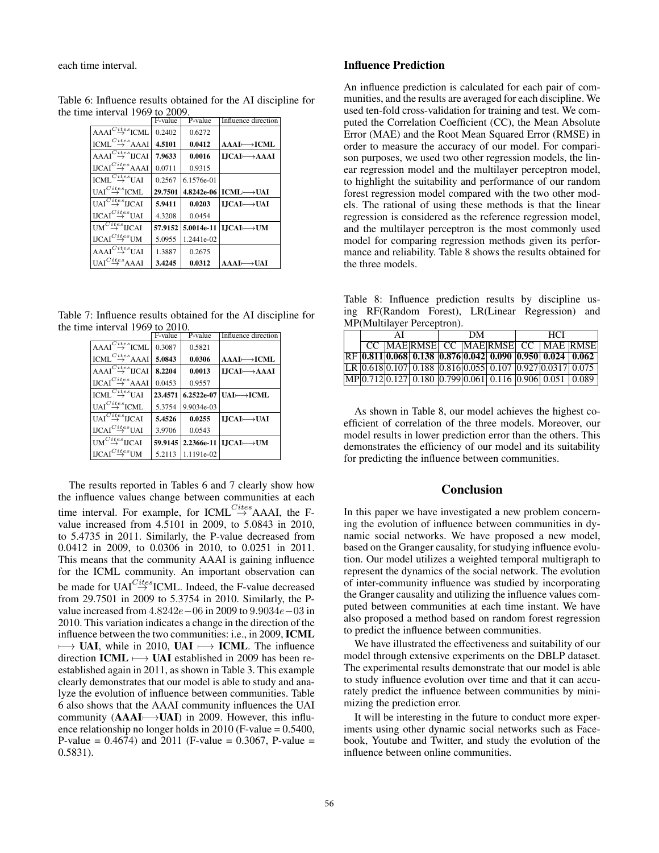each time interval.

| Table 6: Influence results obtained for the AI discipline for |  |
|---------------------------------------------------------------|--|
| the time interval 1969 to 2009.                               |  |

|                                                                     | F-value | P-value    | Influence direction                   |
|---------------------------------------------------------------------|---------|------------|---------------------------------------|
| $AAAI \overset{Cites}{\rightarrow} ICML$                            | 0.2402  | 0.6272     |                                       |
| $\text{ICML}^{\text{Cites}}$ AAAI                                   | 4.5101  | 0.0412     | $AAI \longmapsto ICML$                |
| $\overline{\mathsf{AAI}}^\mathsf{Cites}_\rightarrow \mathsf{IJCAI}$ | 7.9633  | 0.0016     | $LICAI \rightarrow AAAI$              |
| $\mathbf{UCAI}^{Cites}_{\quadrightarrow}\mathbf{AAAI}$              | 0.0711  | 0.9315     |                                       |
| $\text{ICML}^{\text{Cites}}$ UAI                                    | 0.2567  | 6.1576e-01 |                                       |
| UAI $\stackrel{Cites}{\rightarrow}$ ICML.                           | 29.7501 | 4.8242e-06 | $ICML \rightarrow UAI$                |
| UAI $\stackrel{Cites}{\rightarrow}$ licai                           | 5.9411  | 0.0203     | $I, JCAI \longmapsto UAI$             |
| $\text{UCAI}^C \overset{ites}{\rightarrow} \text{UAI}$              | 4.3208  | 0.0454     |                                       |
| $UM \overset{Cites}{\rightarrow} IJCAI$                             | 57.9152 |            | 5.0014e-11 LICAI $\longrightarrow$ UM |
| $\text{UCAI}^C \overset{ites}{\rightarrow} \text{UM}$               | 5.0955  | 1.2441e-02 |                                       |
| $AAAI \overset{Cites}{\rightarrow} UAI$                             | 1.3887  | 0.2675     |                                       |
| $UAI \overset{Cites}{\rightarrow} AAAI$                             | 3.4245  | 0.0312     | AAAI⊢→UAI                             |

Table 7: Influence results obtained for the AI discipline for the time interval 1969 to 2010.

|                                           | F-value | P-value    | Influence direction                     |
|-------------------------------------------|---------|------------|-----------------------------------------|
| $AAAI \overset{Cites}{\rightarrow} ICML$  | 0.3087  | 0.5821     |                                         |
| $ICMI \overset{Cites}{\rightarrow} AAA$   | 5.0843  | 0.0306     | $AAAI \rightarrow ICML$                 |
| $AAAI \overset{Cites}{\rightarrow} IJCAI$ | 8.2204  | 0.0013     | $IJCAI \rightarrow AAAI$                |
| $\text{UCAI}^{\text{Cites}}$ AAAI         | 0.0453  | 0.9557     |                                         |
| $ICMI \overset{Cites}{\rightarrow} UAI$   | 23.4571 |            | $6.2522e-07$ [HAI- $\rightarrow$ ICML   |
| $UAI \overset{Cites}{\rightarrow} ICMI.$  | 5.3754  | 9.9034e-03 |                                         |
| $UAI \overset{Cites}{\rightarrow} IJCAI$  | 5.4526  | 0.0255     | $I, JCAI \longmapsto UAI$               |
| $\text{UCAI}^{\text{Cites}}$ UAI          | 3.9706  | 0.0543     |                                         |
| $UM^{Cites}_{\longrightarrow}$ IJCAI      | 59.9145 |            | $2.2366e-11$ LICAI $\longrightarrow$ UM |
| $\text{UCAI}^{\text{Cites}}$ UM           | 5.2113  | 1.1191e-02 |                                         |

The results reported in Tables 6 and 7 clearly show how the influence values change between communities at each time interval. For example, for ICML<sup>Cites</sup>AAAI, the Fvalue increased from 4.5101 in 2009, to 5.0843 in 2010, to 5.4735 in 2011. Similarly, the P-value decreased from 0.0412 in 2009, to 0.0306 in 2010, to 0.0251 in 2011. This means that the community AAAI is gaining influence for the ICML community. An important observation can be made for UAI<sup>Cites</sup> ICML. Indeed, the F-value decreased from 29.7501 in 2009 to 5.3754 in 2010. Similarly, the Pvalue increased from 4.8242e−06 in 2009 to 9.9034e−03 in 2010. This variation indicates a change in the direction of the influence between the two communities: i.e., in 2009, ICML  $\longrightarrow$  UAI, while in 2010, UAI  $\longmapsto$  ICML. The influence direction ICML  $\longmapsto$  UAI established in 2009 has been reestablished again in 2011, as shown in Table 3. This example clearly demonstrates that our model is able to study and analyze the evolution of influence between communities. Table 6 also shows that the AAAI community influences the UAI community (AAAI—→UAI) in 2009. However, this influence relationship no longer holds in 2010 (F-value = 0.5400, P-value =  $0.4674$ ) and  $2011$  (F-value = 0.3067, P-value = 0.5831).

## Influence Prediction

An influence prediction is calculated for each pair of communities, and the results are averaged for each discipline. We used ten-fold cross-validation for training and test. We computed the Correlation Coefficient (CC), the Mean Absolute Error (MAE) and the Root Mean Squared Error (RMSE) in order to measure the accuracy of our model. For comparison purposes, we used two other regression models, the linear regression model and the multilayer perceptron model, to highlight the suitability and performance of our random forest regression model compared with the two other models. The rational of using these methods is that the linear regression is considered as the reference regression model, and the multilayer perceptron is the most commonly used model for comparing regression methods given its performance and reliability. Table 8 shows the results obtained for the three models.

Table 8: Influence prediction results by discipline using RF(Random Forest), LR(Linear Regression) and MP(Multilayer Perceptron).

| ΑI |  | DМ |  |  | <b>HCI</b> |  |                                                             |  |
|----|--|----|--|--|------------|--|-------------------------------------------------------------|--|
|    |  |    |  |  |            |  | CC MAERMSE CC MAERMSE CC MAE RMSE                           |  |
|    |  |    |  |  |            |  | RF 0.811 0.068 0.138 0.876 0.042 0.090 0.950 0.024 0.062    |  |
|    |  |    |  |  |            |  | $LR$ 0.618 0.107 0.188 0.816 0.055 0.107 0.927 0.0317 0.075 |  |
|    |  |    |  |  |            |  | MP 0.712 0.127 0.180 0.799 0.061 0.116 0.906 0.051 0.089    |  |

As shown in Table 8, our model achieves the highest coefficient of correlation of the three models. Moreover, our model results in lower prediction error than the others. This demonstrates the efficiency of our model and its suitability for predicting the influence between communities.

### Conclusion

In this paper we have investigated a new problem concerning the evolution of influence between communities in dynamic social networks. We have proposed a new model, based on the Granger causality, for studying influence evolution. Our model utilizes a weighted temporal multigraph to represent the dynamics of the social network. The evolution of inter-community influence was studied by incorporating the Granger causality and utilizing the influence values computed between communities at each time instant. We have also proposed a method based on random forest regression to predict the influence between communities.

We have illustrated the effectiveness and suitability of our model through extensive experiments on the DBLP dataset. The experimental results demonstrate that our model is able to study influence evolution over time and that it can accurately predict the influence between communities by minimizing the prediction error.

It will be interesting in the future to conduct more experiments using other dynamic social networks such as Facebook, Youtube and Twitter, and study the evolution of the influence between online communities.